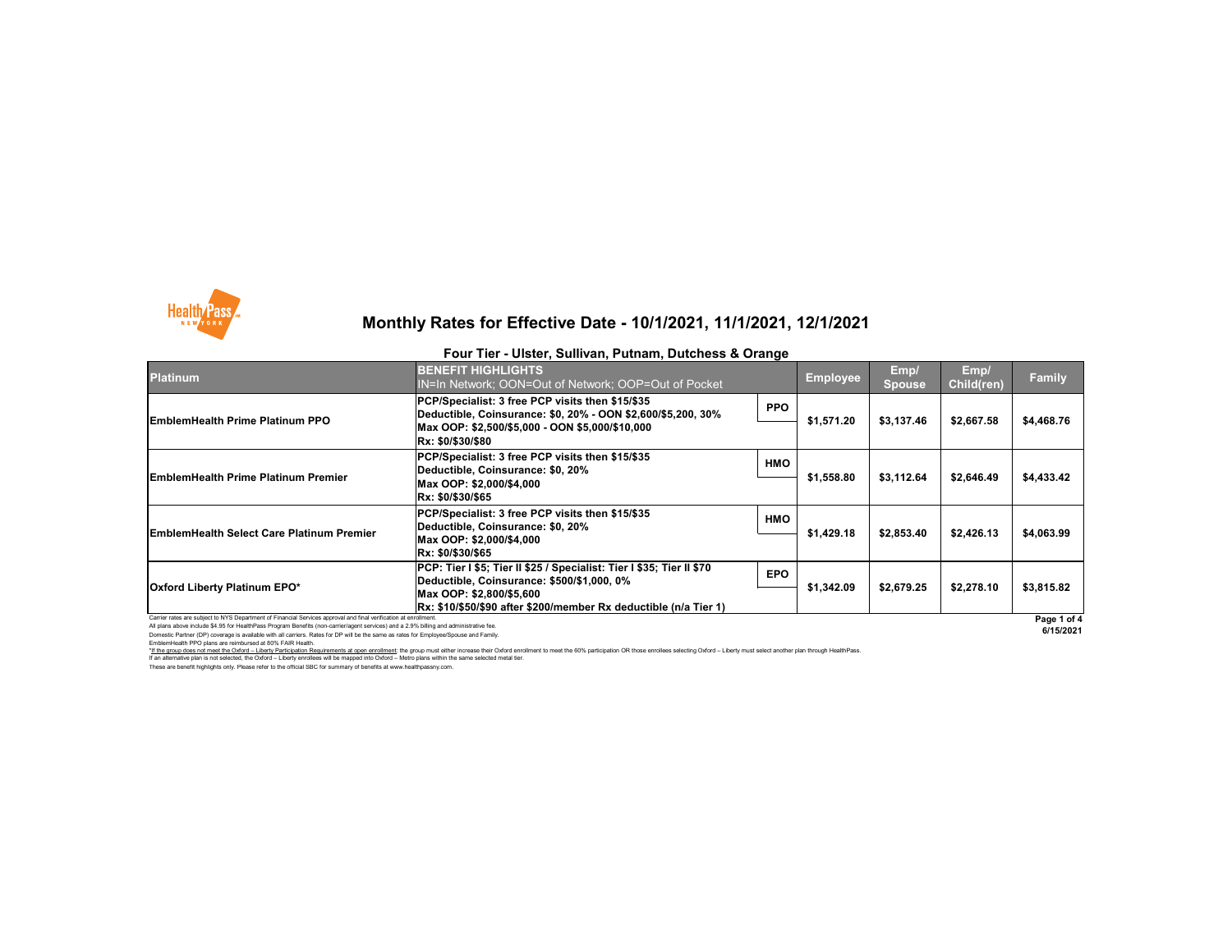Carrier rates are subject to NYS Department of Financial Services approval and final verification at enrollment.

EmblemHealth PPO plans are reimbursed at 80% FAIR Health. \*If the group does not meet the Oxford - Liberty Participation Requirements at open enrollment: the group must either increase their Oxford enrollment to meet the 60% participation OR those enrollees selecting Oxford - Lib If an alternative plan is not selected, the Oxford – Liberty enrollees will be mapped into Oxford – Metro plans within the same selected metal tier.

All plans above include \$4.95 for HealthPass Program Benefits (non-carrier/agent services) and a 2.9% billing and administrative fee. Domestic Partner (DP) coverage is available with all carriers. Rates for DP will be the same as rates for Employee/Spouse and Family.

These are benefit highlights only. Please refer to the official SBC for summary of benefits at www.healthpassny.com.



## **Monthly Rates for Effective Date - 10/1/2021, 11/1/2021, 12/1/2021**

### **Four Tier - Ulster, Sullivan, Putnam, Dutchess & Orange**



**6/15/2021**

| <b>Platinum</b>                                                                                                 | <b>BENEFIT HIGHLIGHTS</b><br>IN=In Network; OON=Out of Network; OOP=Out of Pocket                                   |            | <b>Employee</b>          | Emp/<br>Spouse | Emp/<br>Child(ren) | <b>Family</b> |
|-----------------------------------------------------------------------------------------------------------------|---------------------------------------------------------------------------------------------------------------------|------------|--------------------------|----------------|--------------------|---------------|
| <b>EmblemHealth Prime Platinum PPO</b>                                                                          | PCP/Specialist: 3 free PCP visits then \$15/\$35<br>Deductible, Coinsurance: \$0, 20% - OON \$2,600/\$5,200, 30%    | <b>PPO</b> | \$1,571.20               | \$3,137.46     | \$2,667.58         | \$4,468.76    |
|                                                                                                                 | Max OOP: \$2,500/\$5,000 - OON \$5,000/\$10,000<br>Rx: \$0/\$30/\$80                                                |            |                          |                |                    |               |
| <b>EmblemHealth Prime Platinum Premier</b>                                                                      | PCP/Specialist: 3 free PCP visits then \$15/\$35<br>Deductible, Coinsurance: \$0, 20%                               | <b>HMO</b> | \$3,112.64<br>\$1,558.80 |                |                    |               |
|                                                                                                                 | Max OOP: \$2,000/\$4,000<br>Rx: \$0/\$30/\$65                                                                       |            |                          |                | \$2,646.49         | \$4,433.42    |
| <b>EmblemHealth Select Care Platinum Premier</b>                                                                | PCP/Specialist: 3 free PCP visits then \$15/\$35<br>Deductible, Coinsurance: \$0, 20%                               | <b>HMO</b> | \$1,429.18<br>\$2,853.40 |                |                    |               |
|                                                                                                                 | Max OOP: \$2,000/\$4,000<br>Rx: \$0/\$30/\$65                                                                       |            |                          |                | \$2,426.13         | \$4,063.99    |
| <b>Oxford Liberty Platinum EPO*</b>                                                                             | PCP: Tier I \$5; Tier II \$25 / Specialist: Tier I \$35; Tier II \$70<br>Deductible, Coinsurance: \$500/\$1,000, 0% | <b>EPO</b> |                          |                | \$2,278.10         | \$3,815.82    |
|                                                                                                                 | Max OOP: \$2,800/\$5,600                                                                                            |            | \$1,342.09               | \$2,679.25     |                    |               |
| Carrier rates are subject to NYS Department of Financial Services approval and final verification at enrollment | Rx: \$10/\$50/\$90 after \$200/member Rx deductible (n/a Tier 1)                                                    |            |                          |                |                    | $Dao A$       |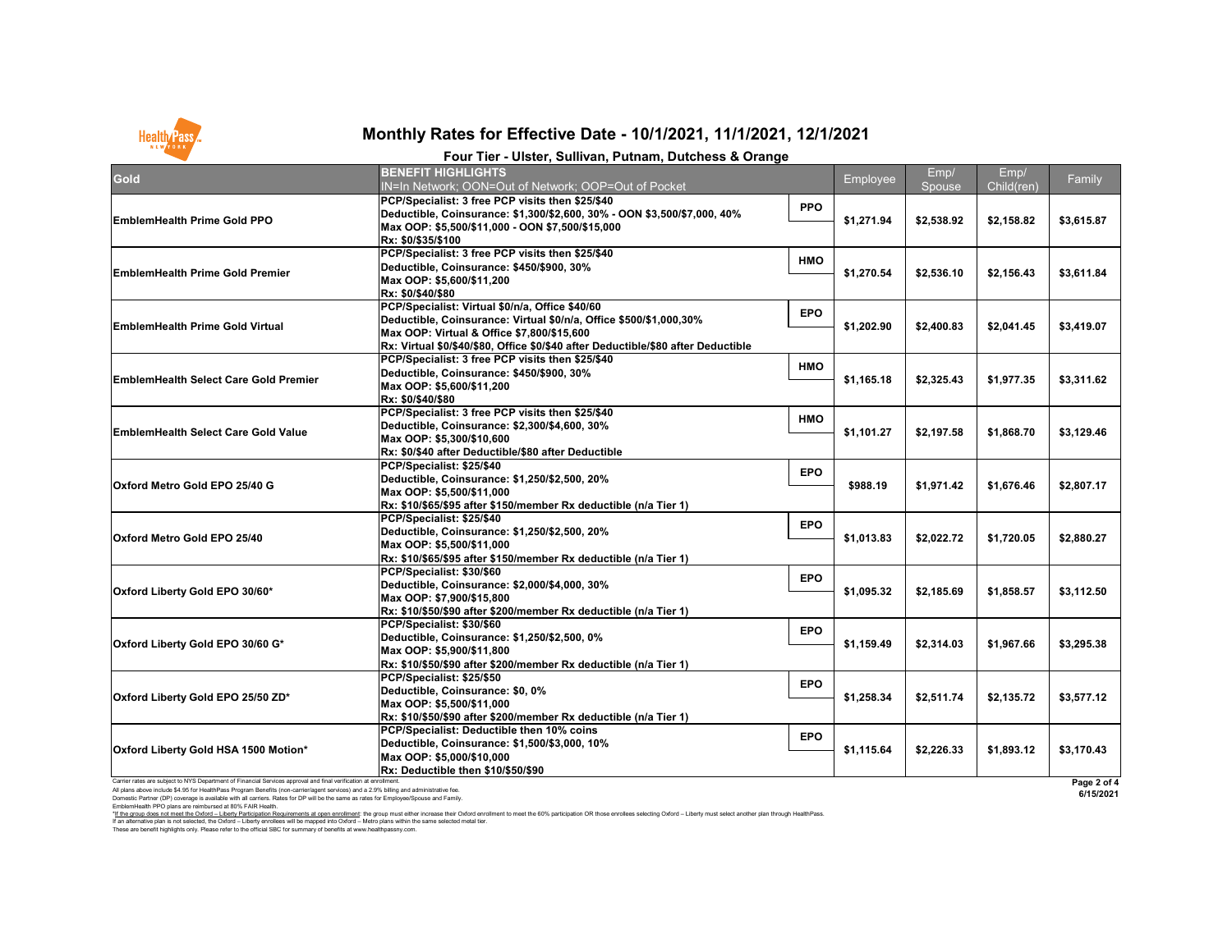Domestic Partner (DP) coverage is available with all carriers. Rates for DP will be the same as rates for Employee/Spouse and Family.

EmblemHealth PPO plans are reimbursed at 80% FAIR Health.

I hese are benefit highlights only. Please refer to the official SBC for summary of benefits at www.healthpassny.com. \*If the group does not meet the Oxford - Liberty Participation Requirements at open enrollment: the group must either increase their Oxford enrollment to meet the 60% participation OR those enrollees selecting Oxford - Lib If an alternative plan is not selected, the Oxford – Liberty enrollees will be mapped into Oxford – Metro plans within the same selected metal tier.



# **Monthly Rates for Effective Date - 10/1/2021, 11/1/2021, 12/1/2021**

|                                                                                                                                                                                                                                                                                                                                                                                                    | Four Tier - Ulster, Sullivan, Putnam, Dutchess & Orange                                                                                                                                                                                                  |            |            |                |                    |                          |
|----------------------------------------------------------------------------------------------------------------------------------------------------------------------------------------------------------------------------------------------------------------------------------------------------------------------------------------------------------------------------------------------------|----------------------------------------------------------------------------------------------------------------------------------------------------------------------------------------------------------------------------------------------------------|------------|------------|----------------|--------------------|--------------------------|
| <b>Gold</b>                                                                                                                                                                                                                                                                                                                                                                                        | <b>BENEFIT HIGHLIGHTS</b><br>IN=In Network; OON=Out of Network; OOP=Out of Pocket                                                                                                                                                                        |            | Employee   | Emp/<br>Spouse | Emp/<br>Child(ren) | Family                   |
| <b>EmblemHealth Prime Gold PPO</b>                                                                                                                                                                                                                                                                                                                                                                 | PCP/Specialist: 3 free PCP visits then \$25/\$40<br>Deductible, Coinsurance: \$1,300/\$2,600, 30% - OON \$3,500/\$7,000, 40%<br>Max OOP: \$5,500/\$11,000 - OON \$7,500/\$15,000<br>Rx: \$0/\$35/\$100                                                   | <b>PPO</b> | \$1,271.94 | \$2,538.92     | \$2,158.82         | \$3,615.87               |
| <b>EmblemHealth Prime Gold Premier</b>                                                                                                                                                                                                                                                                                                                                                             | PCP/Specialist: 3 free PCP visits then \$25/\$40<br>Deductible, Coinsurance: \$450/\$900, 30%<br>Max OOP: \$5,600/\$11,200<br>Rx: \$0/\$40/\$80                                                                                                          | <b>HMO</b> | \$1,270.54 | \$2,536.10     | \$2,156.43         | \$3,611.84               |
| <b>EmblemHealth Prime Gold Virtual</b>                                                                                                                                                                                                                                                                                                                                                             | PCP/Specialist: Virtual \$0/n/a, Office \$40/60<br>Deductible, Coinsurance: Virtual \$0/n/a, Office \$500/\$1,000,30%<br>Max OOP: Virtual & Office \$7,800/\$15,600<br>Rx: Virtual \$0/\$40/\$80, Office \$0/\$40 after Deductible/\$80 after Deductible | <b>EPO</b> | \$1,202.90 | \$2,400.83     | \$2,041.45         | \$3,419.07               |
| <b>EmblemHealth Select Care Gold Premier</b>                                                                                                                                                                                                                                                                                                                                                       | PCP/Specialist: 3 free PCP visits then \$25/\$40<br>Deductible, Coinsurance: \$450/\$900, 30%<br>Max OOP: \$5,600/\$11,200<br>Rx: \$0/\$40/\$80                                                                                                          | <b>HMO</b> | \$1,165.18 | \$2,325.43     | \$1,977.35         | \$3,311.62               |
| <b>EmblemHealth Select Care Gold Value</b>                                                                                                                                                                                                                                                                                                                                                         | PCP/Specialist: 3 free PCP visits then \$25/\$40<br>Deductible, Coinsurance: \$2,300/\$4,600, 30%<br>Max OOP: \$5,300/\$10,600<br>Rx: \$0/\$40 after Deductible/\$80 after Deductible                                                                    | <b>HMO</b> | \$1,101.27 | \$2,197.58     | \$1,868.70         | \$3,129.46               |
| Oxford Metro Gold EPO 25/40 G                                                                                                                                                                                                                                                                                                                                                                      | PCP/Specialist: \$25/\$40<br>Deductible, Coinsurance: \$1,250/\$2,500, 20%<br>Max OOP: \$5,500/\$11,000<br>Rx: \$10/\$65/\$95 after \$150/member Rx deductible (n/a Tier 1)                                                                              | <b>EPO</b> | \$988.19   | \$1,971.42     | \$1,676.46         | \$2,807.17               |
| <b>Oxford Metro Gold EPO 25/40</b>                                                                                                                                                                                                                                                                                                                                                                 | PCP/Specialist: \$25/\$40<br>Deductible, Coinsurance: \$1,250/\$2,500, 20%<br>Max OOP: \$5,500/\$11,000<br>Rx: \$10/\$65/\$95 after \$150/member Rx deductible (n/a Tier 1)                                                                              | <b>EPO</b> | \$1,013.83 | \$2,022.72     | \$1,720.05         | \$2,880.27               |
| Oxford Liberty Gold EPO 30/60*                                                                                                                                                                                                                                                                                                                                                                     | PCP/Specialist: \$30/\$60<br>Deductible, Coinsurance: \$2,000/\$4,000, 30%<br>Max OOP: \$7,900/\$15,800<br>Rx: \$10/\$50/\$90 after \$200/member Rx deductible (n/a Tier 1)                                                                              | <b>EPO</b> | \$1,095.32 | \$2,185.69     | \$1,858.57         | \$3,112.50               |
| Oxford Liberty Gold EPO 30/60 G*                                                                                                                                                                                                                                                                                                                                                                   | PCP/Specialist: \$30/\$60<br>Deductible, Coinsurance: \$1,250/\$2,500, 0%<br>Max OOP: \$5,900/\$11,800<br>Rx: \$10/\$50/\$90 after \$200/member Rx deductible (n/a Tier 1)                                                                               | <b>EPO</b> | \$1,159.49 | \$2,314.03     | \$1,967.66         | \$3,295.38               |
| Oxford Liberty Gold EPO 25/50 ZD*                                                                                                                                                                                                                                                                                                                                                                  | PCP/Specialist: \$25/\$50<br>Deductible, Coinsurance: \$0, 0%<br>Max OOP: \$5,500/\$11,000<br>Rx: \$10/\$50/\$90 after \$200/member Rx deductible (n/a Tier 1)                                                                                           | <b>EPO</b> | \$1,258.34 | \$2,511.74     | \$2,135.72         | \$3,577.12               |
| Oxford Liberty Gold HSA 1500 Motion*                                                                                                                                                                                                                                                                                                                                                               | <b>PCP/Specialist: Deductible then 10% coins</b><br>Deductible, Coinsurance: \$1,500/\$3,000, 10%<br>Max OOP: \$5,000/\$10,000<br><b>Rx: Deductible then \$10/\$50/\$90</b>                                                                              | <b>EPO</b> | \$1,115.64 | \$2,226.33     | \$1,893.12         | \$3,170.43               |
| Carrier rates are subject to NYS Department of Financial Services approval and final verification at enrollment.<br>All plans above include \$4.95 for HealthPass Program Benefits (non-carrier/agent services) and a 2.9% billing and administrative fee.<br>Domestic Partner (DP) coverage is available with all carriers. Rates for DP will be the same as rates for Employee/Spouse and Eamily |                                                                                                                                                                                                                                                          |            |            |                |                    | Page 2 of 4<br>6/15/2021 |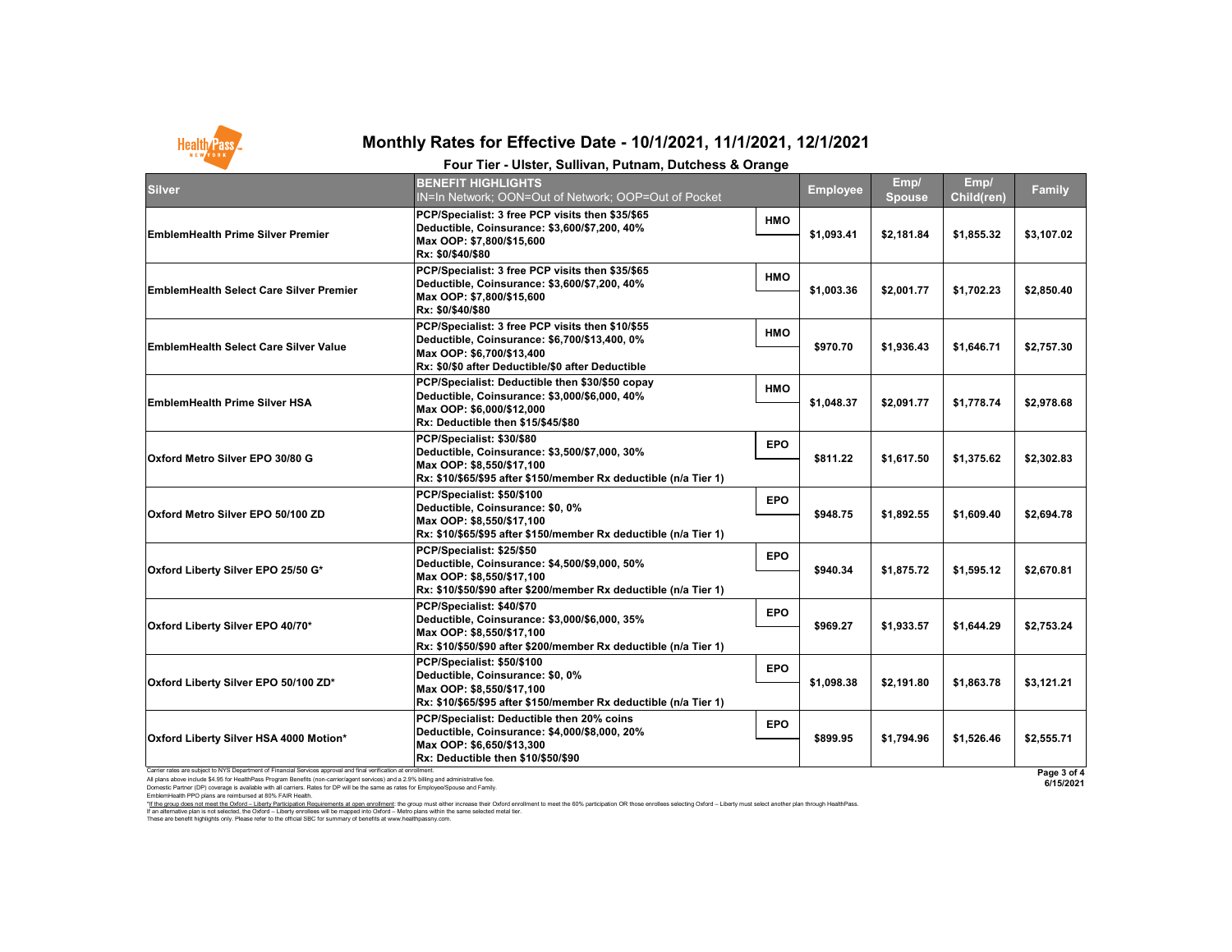Carrier rates are subject to NYS Department of Financial Services approval and final verification at enrollment.

All plans above include \$4.95 for HealthPass Program Benefits (non-carrier/agent services) and a 2.9% billing and administrative fee.

Domestic Partner (DP) coverage is available with all carriers. Rates for DP will be the same as rates for Employee/Spouse and Family. EmblemHealth PPO plans are reimbursed at 80% FAIR Health.

|                                                                                                                 | Four Tier - Ulster, Sullivan, Putnam, Dutchess & Orange                                                                                                                                           |            |                 |                       |                           |               |
|-----------------------------------------------------------------------------------------------------------------|---------------------------------------------------------------------------------------------------------------------------------------------------------------------------------------------------|------------|-----------------|-----------------------|---------------------------|---------------|
| <b>Silver</b>                                                                                                   | <b>BENEFIT HIGHLIGHTS</b><br>IN=In Network; OON=Out of Network; OOP=Out of Pocket                                                                                                                 |            | <b>Employee</b> | Emp/<br><b>Spouse</b> | Emp/<br><b>Child(ren)</b> | <b>Family</b> |
| <b>EmblemHealth Prime Silver Premier</b>                                                                        | PCP/Specialist: 3 free PCP visits then \$35/\$65<br>Deductible, Coinsurance: \$3,600/\$7,200, 40%<br>Max OOP: \$7,800/\$15,600<br>Rx: \$0/\$40/\$80                                               | <b>HMO</b> | \$1,093.41      | \$2,181.84            | \$1,855.32                | \$3,107.02    |
| <b>EmblemHealth Select Care Silver Premier</b>                                                                  | PCP/Specialist: 3 free PCP visits then \$35/\$65<br>Deductible, Coinsurance: \$3,600/\$7,200, 40%<br>Max OOP: \$7,800/\$15,600<br>Rx: \$0/\$40/\$80                                               | <b>HMO</b> | \$1,003.36      | \$2,001.77            | \$1,702.23                | \$2,850.40    |
| <b>EmblemHealth Select Care Silver Value</b>                                                                    | PCP/Specialist: 3 free PCP visits then \$10/\$55<br>Deductible, Coinsurance: \$6,700/\$13,400, 0%<br>Max OOP: \$6,700/\$13,400<br>Rx: \$0/\$0 after Deductible/\$0 after Deductible               | <b>HMO</b> | \$970.70        | \$1,936.43            | \$1,646.71                | \$2,757.30    |
| <b>EmblemHealth Prime Silver HSA</b>                                                                            | PCP/Specialist: Deductible then \$30/\$50 copay<br>Deductible, Coinsurance: \$3,000/\$6,000, 40%<br>Max OOP: \$6,000/\$12,000<br><b>Rx: Deductible then \$15/\$45/\$80</b>                        | <b>HMO</b> | \$1,048.37      | \$2,091.77            | \$1,778.74                | \$2,978.68    |
| <b>Oxford Metro Silver EPO 30/80 G</b>                                                                          | PCP/Specialist: \$30/\$80<br>Deductible, Coinsurance: \$3,500/\$7,000, 30%<br>Max OOP: \$8,550/\$17,100<br>Rx: \$10/\$65/\$95 after \$150/member Rx deductible (n/a Tier 1)                       | <b>EPO</b> | \$811.22        | \$1,617.50            | \$1,375.62                | \$2,302.83    |
| <b>Oxford Metro Silver EPO 50/100 ZD</b>                                                                        | PCP/Specialist: \$50/\$100<br>Deductible, Coinsurance: \$0, 0%<br>Max OOP: \$8,550/\$17,100<br>Rx: \$10/\$65/\$95 after \$150/member Rx deductible (n/a Tier 1)                                   | <b>EPO</b> | \$948.75        | \$1,892.55            | \$1,609.40                | \$2,694.78    |
| Oxford Liberty Silver EPO 25/50 G*                                                                              | PCP/Specialist: \$25/\$50<br>Deductible, Coinsurance: \$4,500/\$9,000, 50%<br>Max OOP: \$8,550/\$17,100<br>Rx: \$10/\$50/\$90 after \$200/member Rx deductible (n/a Tier 1)                       | <b>EPO</b> | \$940.34        | \$1,875.72            | \$1,595.12                | \$2,670.81    |
| Oxford Liberty Silver EPO 40/70*                                                                                | PCP/Specialist: \$40/\$70<br>Deductible, Coinsurance: \$3,000/\$6,000, 35%<br>Max OOP: \$8,550/\$17,100<br>Rx: \$10/\$50/\$90 after \$200/member Rx deductible (n/a Tier 1)                       | <b>EPO</b> | \$969.27        | \$1,933.57            | \$1,644.29                | \$2,753.24    |
| Oxford Liberty Silver EPO 50/100 ZD*                                                                            | PCP/Specialist: \$50/\$100<br>Deductible, Coinsurance: \$0, 0%<br>Max OOP: \$8,550/\$17,100<br> Rx: \$10/\$65/\$95                                  after \$150/member Rx deductible (n/a Tier 1) | <b>EPO</b> | \$1,098.38      | \$2,191.80            | \$1,863.78                | \$3,121.21    |
| Oxford Liberty Silver HSA 4000 Motion*                                                                          | <b>PCP/Specialist: Deductible then 20% coins</b><br>Deductible, Coinsurance: \$4,000/\$8,000, 20%<br>Max OOP: \$6,650/\$13,300<br>Rx: Deductible then \$10/\$50/\$90                              | <b>EPO</b> | \$899.95        | \$1,794.96            | \$1,526.46                | \$2,555.71    |
| Carrier rates are subject to NYS Department of Financial Services approval and final verification at enrollment |                                                                                                                                                                                                   |            |                 |                       |                           | Dana 26       |

These are benefit highlights only. Please refer to the official SBC for summary of benefits at www.healthpassny.com. \*<u>If the group does not meet the Oxford – Liberty Participation Requirements at open enrollment</u>: the group must either increase their Oxford enrollment to meet the 60% participation OR those enrollees selecting Oxford – L If an alternative plan is not selected, the Oxford – Liberty enrollees will be mapped into Oxford – Metro plans within the same selected metal tier.

| $\mathbf{y}$            |  |
|-------------------------|--|
| $\overline{2}$          |  |
| IO                      |  |
| 80                      |  |
| $\overline{\bf 36}$     |  |
| 33                      |  |
| 78                      |  |
| 31                      |  |
| <u>24</u>               |  |
| $\overline{.}1$         |  |
| $\overline{\mathbf{1}}$ |  |
| $\bar{\mathbf{f}}$      |  |



## **Monthly Rates for Effective Date - 10/1/2021, 11/1/2021, 12/1/2021**

**Page 3 of 4 6/15/2021**